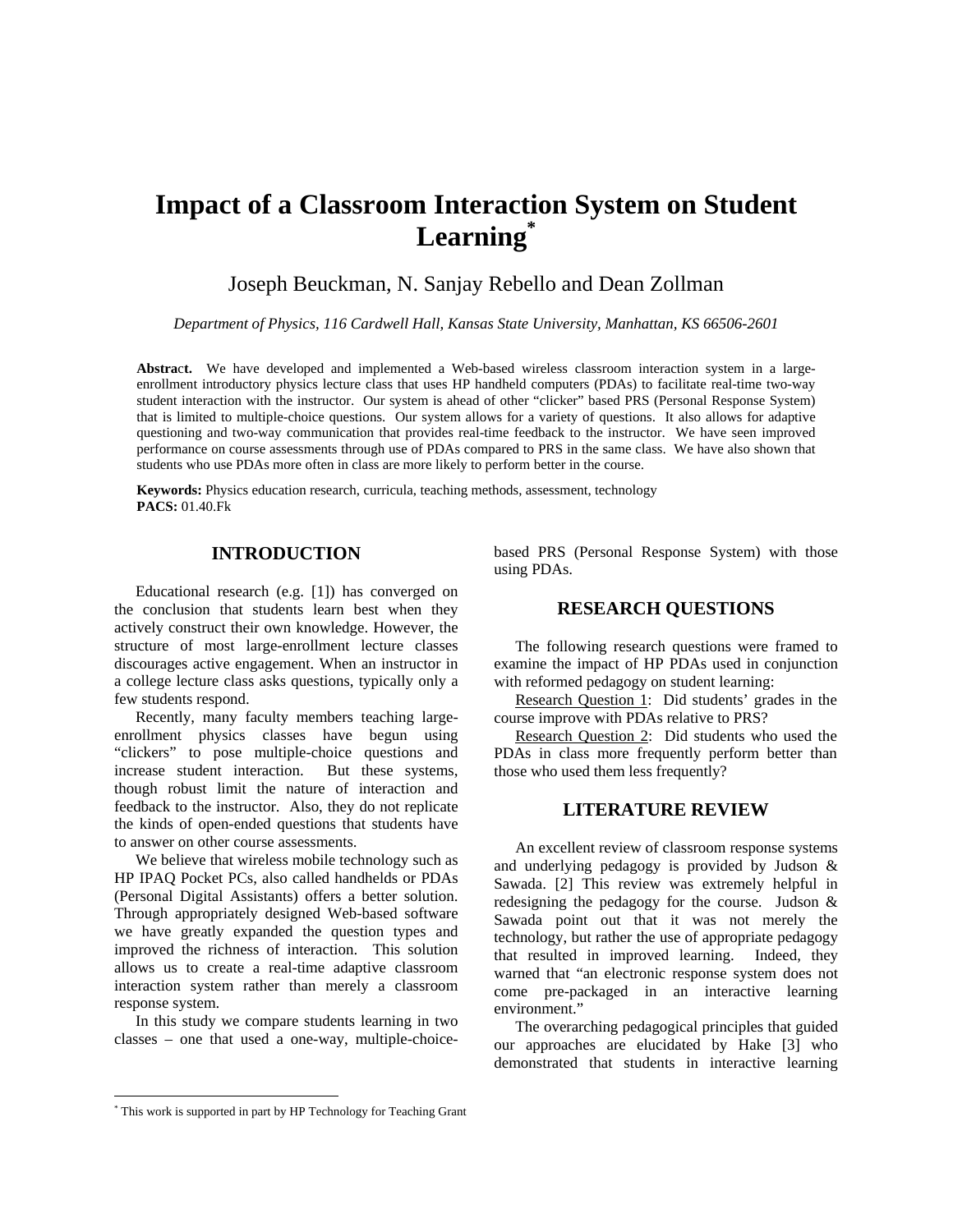# **Impact of a Classroom Interaction System on Student Learning\***

Joseph Beuckman, N. Sanjay Rebello and Dean Zollman

*Department of Physics, 116 Cardwell Hall, Kansas State University, Manhattan, KS 66506-2601* 

**Abstra**c**t.** We have developed and implemented a Web-based wireless classroom interaction system in a largeenrollment introductory physics lecture class that uses HP handheld computers (PDAs) to facilitate real-time two-way student interaction with the instructor. Our system is ahead of other "clicker" based PRS (Personal Response System) that is limited to multiple-choice questions. Our system allows for a variety of questions. It also allows for adaptive questioning and two-way communication that provides real-time feedback to the instructor. We have seen improved performance on course assessments through use of PDAs compared to PRS in the same class. We have also shown that students who use PDAs more often in class are more likely to perform better in the course.

**Keywords:** Physics education research, curricula, teaching methods, assessment, technology **PACS:** 01.40.Fk

## **INTRODUCTION**

Educational research (e.g. [1]) has converged on the conclusion that students learn best when they actively construct their own knowledge. However, the structure of most large-enrollment lecture classes discourages active engagement. When an instructor in a college lecture class asks questions, typically only a few students respond.

Recently, many faculty members teaching largeenrollment physics classes have begun using "clickers" to pose multiple-choice questions and increase student interaction. But these systems, though robust limit the nature of interaction and feedback to the instructor. Also, they do not replicate the kinds of open-ended questions that students have to answer on other course assessments.

We believe that wireless mobile technology such as HP IPAQ Pocket PCs, also called handhelds or PDAs (Personal Digital Assistants) offers a better solution. Through appropriately designed Web-based software we have greatly expanded the question types and improved the richness of interaction. This solution allows us to create a real-time adaptive classroom interaction system rather than merely a classroom response system.

In this study we compare students learning in two classes – one that used a one-way, multiple-choice-

\* This work is supported in part by HP Technology for Teaching Grant

1

based PRS (Personal Response System) with those using PDAs.

## **RESEARCH QUESTIONS**

The following research questions were framed to examine the impact of HP PDAs used in conjunction with reformed pedagogy on student learning:

Research Question 1: Did students' grades in the course improve with PDAs relative to PRS?

Research Question 2: Did students who used the PDAs in class more frequently perform better than those who used them less frequently?

#### **LITERATURE REVIEW**

An excellent review of classroom response systems and underlying pedagogy is provided by Judson & Sawada. [2] This review was extremely helpful in redesigning the pedagogy for the course. Judson & Sawada point out that it was not merely the technology, but rather the use of appropriate pedagogy that resulted in improved learning. Indeed, they warned that "an electronic response system does not come pre-packaged in an interactive learning environment."

The overarching pedagogical principles that guided our approaches are elucidated by Hake [3] who demonstrated that students in interactive learning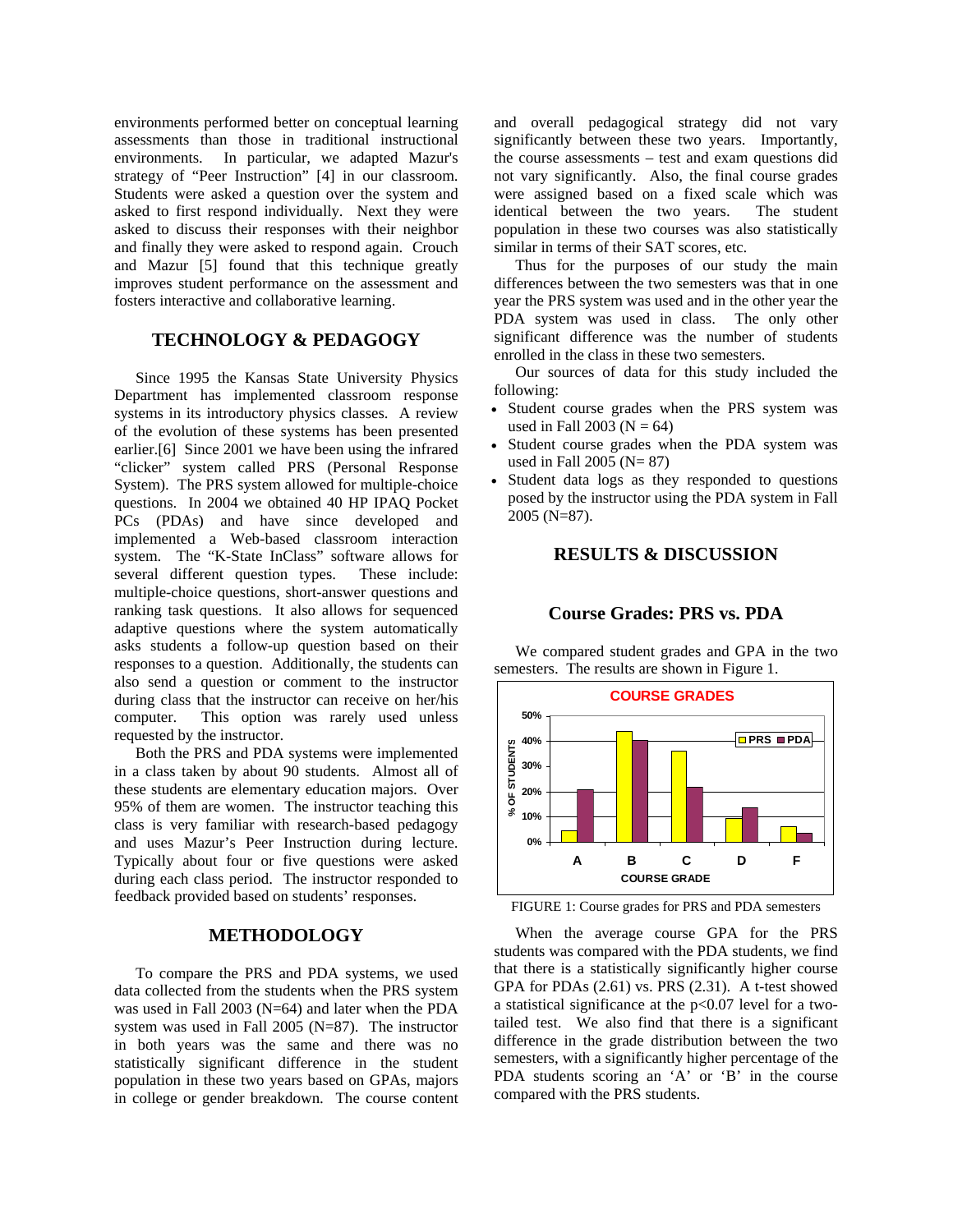environments performed better on conceptual learning assessments than those in traditional instructional environments. In particular, we adapted Mazur's strategy of "Peer Instruction" [4] in our classroom. Students were asked a question over the system and asked to first respond individually. Next they were asked to discuss their responses with their neighbor and finally they were asked to respond again. Crouch and Mazur [5] found that this technique greatly improves student performance on the assessment and fosters interactive and collaborative learning.

# **TECHNOLOGY & PEDAGOGY**

Since 1995 the Kansas State University Physics Department has implemented classroom response systems in its introductory physics classes. A review of the evolution of these systems has been presented earlier.[6] Since 2001 we have been using the infrared "clicker" system called PRS (Personal Response System). The PRS system allowed for multiple-choice questions. In 2004 we obtained 40 HP IPAQ Pocket PCs (PDAs) and have since developed and implemented a Web-based classroom interaction system. The "K-State InClass" software allows for several different question types. These include: multiple-choice questions, short-answer questions and ranking task questions. It also allows for sequenced adaptive questions where the system automatically asks students a follow-up question based on their responses to a question. Additionally, the students can also send a question or comment to the instructor during class that the instructor can receive on her/his computer. This option was rarely used unless requested by the instructor.

Both the PRS and PDA systems were implemented in a class taken by about 90 students. Almost all of these students are elementary education majors. Over 95% of them are women. The instructor teaching this class is very familiar with research-based pedagogy and uses Mazur's Peer Instruction during lecture. Typically about four or five questions were asked during each class period. The instructor responded to feedback provided based on students' responses.

#### **METHODOLOGY**

To compare the PRS and PDA systems, we used data collected from the students when the PRS system was used in Fall 2003 (N=64) and later when the PDA system was used in Fall 2005 (N=87). The instructor in both years was the same and there was no statistically significant difference in the student population in these two years based on GPAs, majors in college or gender breakdown. The course content and overall pedagogical strategy did not vary significantly between these two years. Importantly, the course assessments – test and exam questions did not vary significantly. Also, the final course grades were assigned based on a fixed scale which was identical between the two years. The student population in these two courses was also statistically similar in terms of their SAT scores, etc.

Thus for the purposes of our study the main differences between the two semesters was that in one year the PRS system was used and in the other year the PDA system was used in class. The only other significant difference was the number of students enrolled in the class in these two semesters.

Our sources of data for this study included the following:

- Student course grades when the PRS system was used in Fall 2003 ( $N = 64$ )
- Student course grades when the PDA system was used in Fall 2005 (N= 87)
- Student data logs as they responded to questions posed by the instructor using the PDA system in Fall 2005 (N=87).

#### **RESULTS & DISCUSSION**

#### **Course Grades: PRS vs. PDA**

We compared student grades and GPA in the two semesters. The results are shown in Figure 1.



FIGURE 1: Course grades for PRS and PDA semesters

When the average course GPA for the PRS students was compared with the PDA students, we find that there is a statistically significantly higher course GPA for PDAs (2.61) vs. PRS (2.31). A t-test showed a statistical significance at the p<0.07 level for a twotailed test. We also find that there is a significant difference in the grade distribution between the two semesters, with a significantly higher percentage of the PDA students scoring an 'A' or 'B' in the course compared with the PRS students.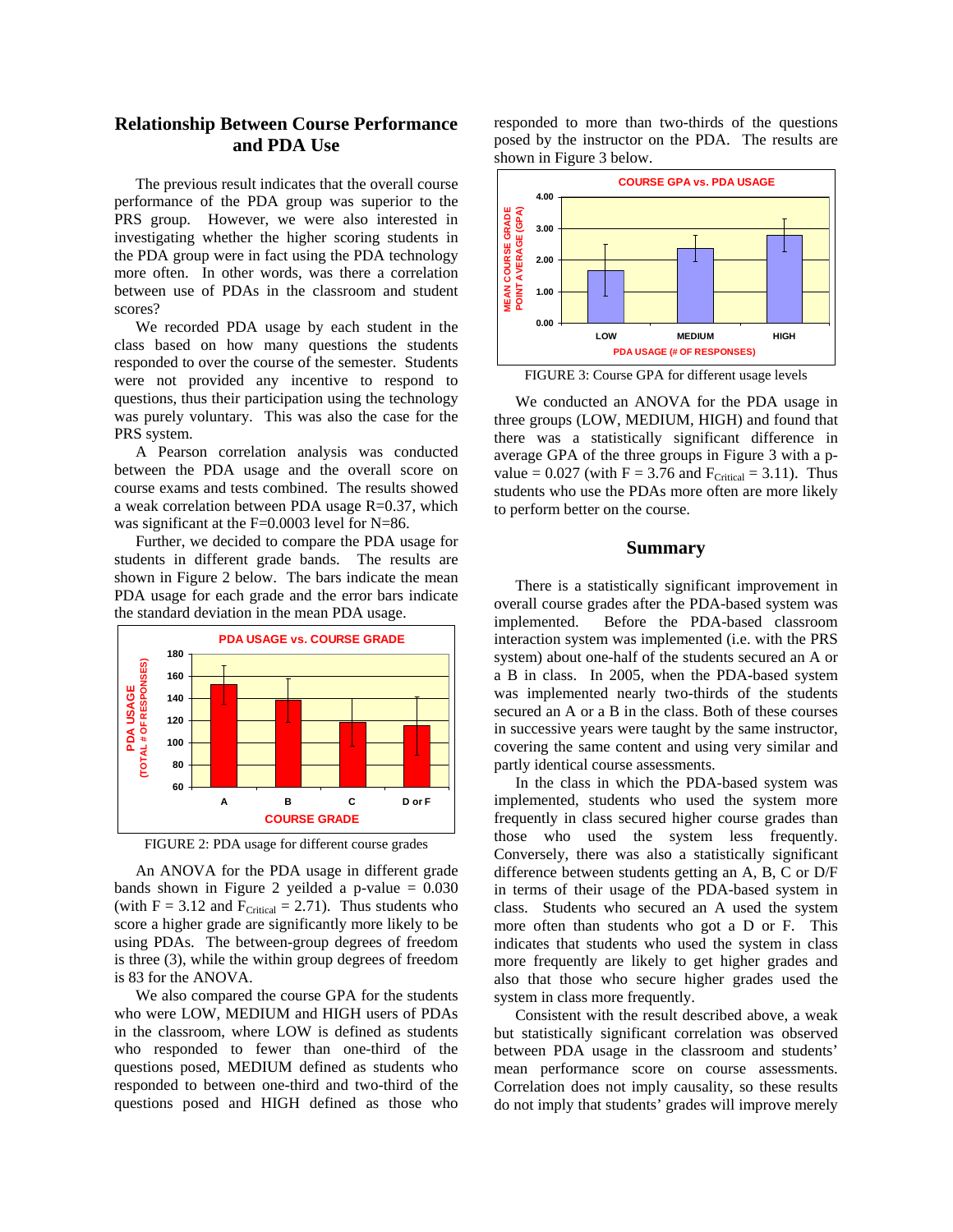# **Relationship Between Course Performance and PDA Use**

The previous result indicates that the overall course performance of the PDA group was superior to the PRS group. However, we were also interested in investigating whether the higher scoring students in the PDA group were in fact using the PDA technology more often. In other words, was there a correlation between use of PDAs in the classroom and student scores?

We recorded PDA usage by each student in the class based on how many questions the students responded to over the course of the semester. Students were not provided any incentive to respond to questions, thus their participation using the technology was purely voluntary. This was also the case for the PRS system.

A Pearson correlation analysis was conducted between the PDA usage and the overall score on course exams and tests combined. The results showed a weak correlation between PDA usage R=0.37, which was significant at the F=0.0003 level for N=86.

Further, we decided to compare the PDA usage for students in different grade bands. The results are shown in Figure 2 below. The bars indicate the mean PDA usage for each grade and the error bars indicate the standard deviation in the mean PDA usage.



FIGURE 2: PDA usage for different course grades

An ANOVA for the PDA usage in different grade bands shown in Figure 2 yeilded a p-value  $= 0.030$ (with  $F = 3.12$  and  $F_{\text{Critical}} = 2.71$ ). Thus students who score a higher grade are significantly more likely to be using PDAs. The between-group degrees of freedom is three (3), while the within group degrees of freedom is 83 for the ANOVA.

We also compared the course GPA for the students who were LOW, MEDIUM and HIGH users of PDAs in the classroom, where LOW is defined as students who responded to fewer than one-third of the questions posed, MEDIUM defined as students who responded to between one-third and two-third of the questions posed and HIGH defined as those who

responded to more than two-thirds of the questions posed by the instructor on the PDA. The results are shown in Figure 3 below.



FIGURE 3: Course GPA for different usage levels

We conducted an ANOVA for the PDA usage in three groups (LOW, MEDIUM, HIGH) and found that there was a statistically significant difference in average GPA of the three groups in Figure 3 with a pvalue =  $0.027$  (with F = 3.76 and F<sub>Critical</sub> = 3.11). Thus students who use the PDAs more often are more likely to perform better on the course.

## **Summary**

There is a statistically significant improvement in overall course grades after the PDA-based system was implemented. Before the PDA-based classroom interaction system was implemented (i.e. with the PRS system) about one-half of the students secured an A or a B in class. In 2005, when the PDA-based system was implemented nearly two-thirds of the students secured an A or a B in the class. Both of these courses in successive years were taught by the same instructor, covering the same content and using very similar and partly identical course assessments.

In the class in which the PDA-based system was implemented, students who used the system more frequently in class secured higher course grades than those who used the system less frequently. Conversely, there was also a statistically significant difference between students getting an A, B, C or D/F in terms of their usage of the PDA-based system in class. Students who secured an A used the system more often than students who got a D or F. This indicates that students who used the system in class more frequently are likely to get higher grades and also that those who secure higher grades used the system in class more frequently.

Consistent with the result described above, a weak but statistically significant correlation was observed between PDA usage in the classroom and students' mean performance score on course assessments. Correlation does not imply causality, so these results do not imply that students' grades will improve merely